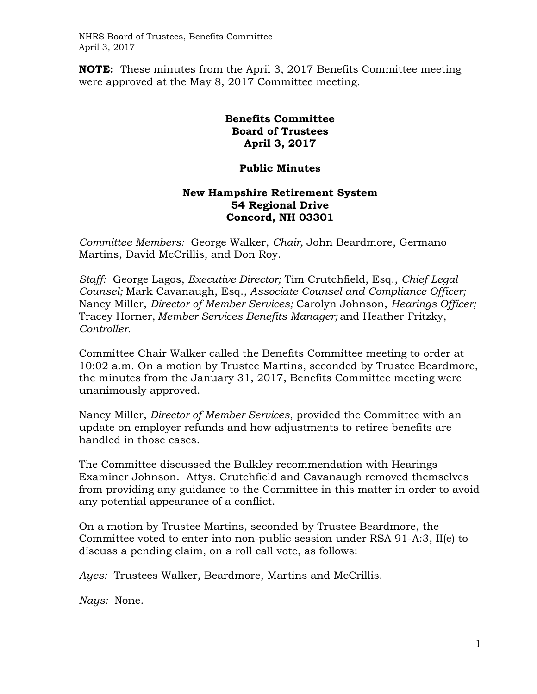NHRS Board of Trustees, Benefits Committee April 3, 2017

**NOTE:** These minutes from the April 3, 2017 Benefits Committee meeting were approved at the May 8, 2017 Committee meeting.

## **Benefits Committee Board of Trustees April 3, 2017**

## **Public Minutes**

## **New Hampshire Retirement System 54 Regional Drive Concord, NH 03301**

*Committee Members:* George Walker, *Chair,* John Beardmore, Germano Martins, David McCrillis, and Don Roy.

*Staff:* George Lagos, *Executive Director;* Tim Crutchfield, Esq., *Chief Legal Counsel;* Mark Cavanaugh, Esq.*, Associate Counsel and Compliance Officer;*  Nancy Miller, *Director of Member Services;* Carolyn Johnson, *Hearings Officer;*  Tracey Horner, *Member Services Benefits Manager;* and Heather Fritzky, *Controller*.

Committee Chair Walker called the Benefits Committee meeting to order at 10:02 a.m. On a motion by Trustee Martins, seconded by Trustee Beardmore, the minutes from the January 31, 2017, Benefits Committee meeting were unanimously approved.

Nancy Miller, *Director of Member Services*, provided the Committee with an update on employer refunds and how adjustments to retiree benefits are handled in those cases.

The Committee discussed the Bulkley recommendation with Hearings Examiner Johnson. Attys. Crutchfield and Cavanaugh removed themselves from providing any guidance to the Committee in this matter in order to avoid any potential appearance of a conflict.

On a motion by Trustee Martins, seconded by Trustee Beardmore, the Committee voted to enter into non-public session under RSA 91-A:3, II(e) to discuss a pending claim, on a roll call vote, as follows:

*Ayes:* Trustees Walker, Beardmore, Martins and McCrillis.

*Nays:* None.